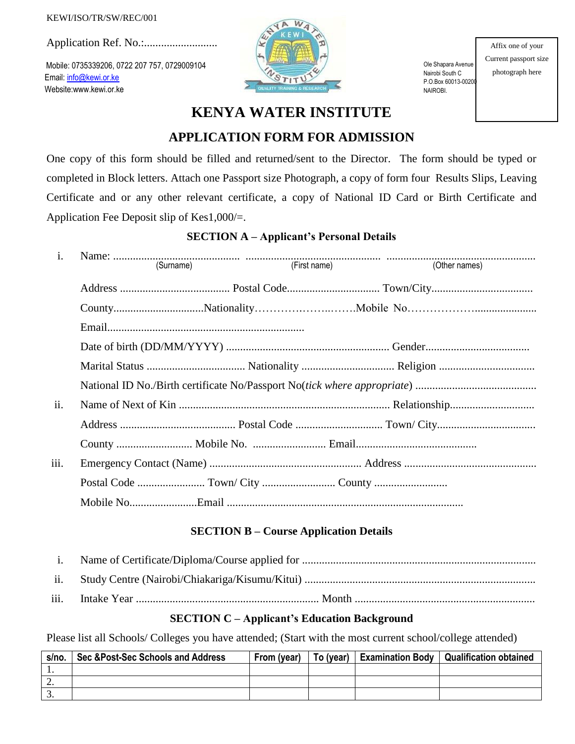#### KEWI/ISO/TR/SW/REC/001

Application Ref. No.:..........................

Mobile: 0735339206, 0722 207 757, 0729009104 Email[: info@kewi.or.ke](mailto:info@kewi.or.ke) Website:www.kewi.or.ke



Ole Shapara Avenue Nairobi South C P.O.Box 60013-00200 NAIROBI.

Affix one of your Current passport size photograph here

# **KENYA WATER INSTITUTE**

# **APPLICATION FORM FOR ADMISSION**

One copy of this form should be filled and returned/sent to the Director. The form should be typed or completed in Block letters. Attach one Passport size Photograph, a copy of form four Results Slips, Leaving Certificate and or any other relevant certificate, a copy of National ID Card or Birth Certificate and Application Fee Deposit slip of Kes1,000/=.

## **SECTION A – Applicant's Personal Details**

| $\mathbf{i}$ . |  |  |  |  |  |  |
|----------------|--|--|--|--|--|--|
|                |  |  |  |  |  |  |
|                |  |  |  |  |  |  |
|                |  |  |  |  |  |  |
|                |  |  |  |  |  |  |
|                |  |  |  |  |  |  |
|                |  |  |  |  |  |  |
| ii.            |  |  |  |  |  |  |
|                |  |  |  |  |  |  |
|                |  |  |  |  |  |  |
| iii.           |  |  |  |  |  |  |
|                |  |  |  |  |  |  |
|                |  |  |  |  |  |  |

### **SECTION B – Course Application Details**

- i. Name of Certificate/Diploma/Course applied for ................................................................................... ii. Study Centre (Nairobi/Chiakariga/Kisumu/Kitui) ..................................................................................
- iii. Intake Year ................................................................. Month ................................................................

### **SECTION C – Applicant's Education Background**

Please list all Schools/ Colleges you have attended; (Start with the most current school/college attended)

| s/no. | Sec & Post-Sec Schools and Address | From (year) | To (vear) | <b>Examination Body   Qualification obtained</b> |
|-------|------------------------------------|-------------|-----------|--------------------------------------------------|
|       |                                    |             |           |                                                  |
| ـ.    |                                    |             |           |                                                  |
|       |                                    |             |           |                                                  |